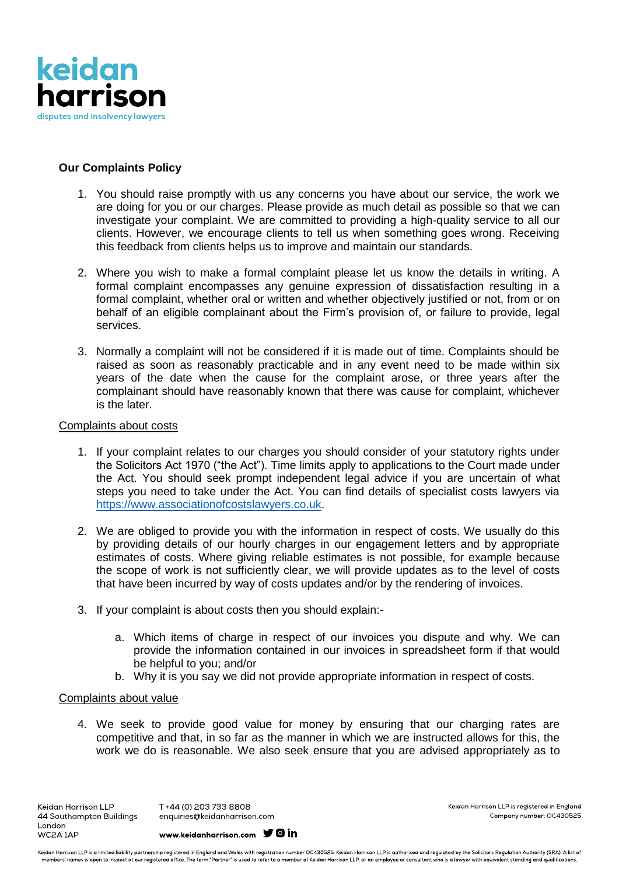

# **Our Complaints Policy**

- 1. You should raise promptly with us any concerns you have about our service, the work we are doing for you or our charges. Please provide as much detail as possible so that we can investigate your complaint. We are committed to providing a high-quality service to all our clients. However, we encourage clients to tell us when something goes wrong. Receiving this feedback from clients helps us to improve and maintain our standards.
- 2. Where you wish to make a formal complaint please let us know the details in writing. A formal complaint encompasses any genuine expression of dissatisfaction resulting in a formal complaint, whether oral or written and whether objectively justified or not, from or on behalf of an eligible complainant about the Firm's provision of, or failure to provide, legal services.
- 3. Normally a complaint will not be considered if it is made out of time. Complaints should be raised as soon as reasonably practicable and in any event need to be made within six years of the date when the cause for the complaint arose, or three years after the complainant should have reasonably known that there was cause for complaint, whichever is the later.

## Complaints about costs

- 1. If your complaint relates to our charges you should consider of your statutory rights under the Solicitors Act 1970 ("the Act"). Time limits apply to applications to the Court made under the Act. You should seek prompt independent legal advice if you are uncertain of what steps you need to take under the Act. You can find details of specialist costs lawyers via [https://www.associationofcostslawyers.co.uk.](https://www.associationofcostslawyers.co.uk/)
- 2. We are obliged to provide you with the information in respect of costs. We usually do this by providing details of our hourly charges in our engagement letters and by appropriate estimates of costs. Where giving reliable estimates is not possible, for example because the scope of work is not sufficiently clear, we will provide updates as to the level of costs that have been incurred by way of costs updates and/or by the rendering of invoices.
- 3. If your complaint is about costs then you should explain:
	- a. Which items of charge in respect of our invoices you dispute and why. We can provide the information contained in our invoices in spreadsheet form if that would be helpful to you; and/or
	- b. Why it is you say we did not provide appropriate information in respect of costs.

### Complaints about value

4. We seek to provide good value for money by ensuring that our charging rates are competitive and that, in so far as the manner in which we are instructed allows for this, the work we do is reasonable. We also seek ensure that you are advised appropriately as to

Keidan Harrison LLP 44 Southampton Buildings London WC2A1AP

T+44 (0) 203 733 8808 enquiries@keidanharrison.com www.keidanharrison.com **y** 0 in Keidan Harrison LLP is reaistered in England Company number: OC430525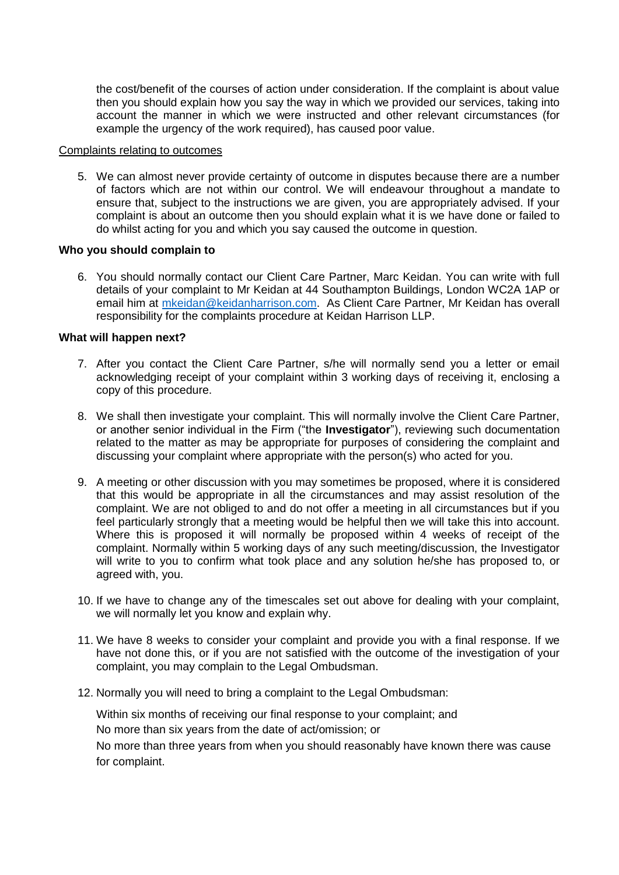the cost/benefit of the courses of action under consideration. If the complaint is about value then you should explain how you say the way in which we provided our services, taking into account the manner in which we were instructed and other relevant circumstances (for example the urgency of the work required), has caused poor value.

#### Complaints relating to outcomes

5. We can almost never provide certainty of outcome in disputes because there are a number of factors which are not within our control. We will endeavour throughout a mandate to ensure that, subject to the instructions we are given, you are appropriately advised. If your complaint is about an outcome then you should explain what it is we have done or failed to do whilst acting for you and which you say caused the outcome in question.

### **Who you should complain to**

6. You should normally contact our Client Care Partner, Marc Keidan. You can write with full details of your complaint to Mr Keidan at 44 Southampton Buildings, London WC2A 1AP or email him at [mkeidan@keidanharrison.com.](mailto:mkeidan@keidanharrison.com) As Client Care Partner, Mr Keidan has overall responsibility for the complaints procedure at Keidan Harrison LLP.

# **What will happen next?**

- 7. After you contact the Client Care Partner, s/he will normally send you a letter or email acknowledging receipt of your complaint within 3 working days of receiving it, enclosing a copy of this procedure.
- 8. We shall then investigate your complaint. This will normally involve the Client Care Partner, or another senior individual in the Firm ("the **Investigator**"), reviewing such documentation related to the matter as may be appropriate for purposes of considering the complaint and discussing your complaint where appropriate with the person(s) who acted for you.
- 9. A meeting or other discussion with you may sometimes be proposed, where it is considered that this would be appropriate in all the circumstances and may assist resolution of the complaint. We are not obliged to and do not offer a meeting in all circumstances but if you feel particularly strongly that a meeting would be helpful then we will take this into account. Where this is proposed it will normally be proposed within 4 weeks of receipt of the complaint. Normally within 5 working days of any such meeting/discussion, the Investigator will write to you to confirm what took place and any solution he/she has proposed to, or agreed with, you.
- 10. If we have to change any of the timescales set out above for dealing with your complaint, we will normally let you know and explain why.
- 11. We have 8 weeks to consider your complaint and provide you with a final response. If we have not done this, or if you are not satisfied with the outcome of the investigation of your complaint, you may complain to the Legal Ombudsman.
- 12. Normally you will need to bring a complaint to the Legal Ombudsman:

Within six months of receiving our final response to your complaint; and

No more than six years from the date of act/omission; or

No more than three years from when you should reasonably have known there was cause for complaint.